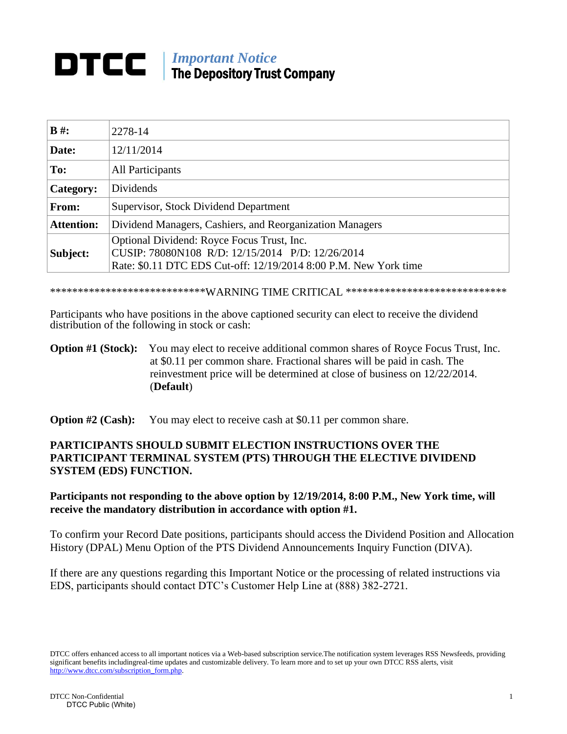## *Important Notice* The Depository Trust Company

| $B \#$ :          | 2278-14                                                                                                                                                            |
|-------------------|--------------------------------------------------------------------------------------------------------------------------------------------------------------------|
| Date:             | 12/11/2014                                                                                                                                                         |
| To:               | <b>All Participants</b>                                                                                                                                            |
| Category:         | Dividends                                                                                                                                                          |
| From:             | Supervisor, Stock Dividend Department                                                                                                                              |
| <b>Attention:</b> | Dividend Managers, Cashiers, and Reorganization Managers                                                                                                           |
| Subject:          | Optional Dividend: Royce Focus Trust, Inc.<br>CUSIP: 78080N108 R/D: 12/15/2014 P/D: 12/26/2014<br>Rate: \$0.11 DTC EDS Cut-off: 12/19/2014 8:00 P.M. New York time |

\*\*\*\*\*\*\*\*\*\*\*\*\*\*\*\*\*\*\*\*\*\*\*\*\*\*\*\*WARNING TIME CRITICAL \*\*\*\*\*\*\*\*\*\*\*\*\*\*\*\*\*\*\*\*\*\*\*\*\*\*\*\*\*

Participants who have positions in the above captioned security can elect to receive the dividend distribution of the following in stock or cash:

## **Option #1 (Stock):** You may elect to receive additional common shares of Royce Focus Trust, Inc. at \$0.11 per common share. Fractional shares will be paid in cash. The reinvestment price will be determined at close of business on 12/22/2014. (**Default**)

**Option #2 (Cash):** You may elect to receive cash at \$0.11 per common share.

## **PARTICIPANTS SHOULD SUBMIT ELECTION INSTRUCTIONS OVER THE PARTICIPANT TERMINAL SYSTEM (PTS) THROUGH THE ELECTIVE DIVIDEND SYSTEM (EDS) FUNCTION.**

## **Participants not responding to the above option by 12/19/2014, 8:00 P.M., New York time, will receive the mandatory distribution in accordance with option #1.**

To confirm your Record Date positions, participants should access the Dividend Position and Allocation History (DPAL) Menu Option of the PTS Dividend Announcements Inquiry Function (DIVA).

If there are any questions regarding this Important Notice or the processing of related instructions via EDS, participants should contact DTC's Customer Help Line at (888) 382-2721.

DTCC offers enhanced access to all important notices via a Web-based subscription service.The notification system leverages RSS Newsfeeds, providing significant benefits includingreal-time updates and customizable delivery. To learn more and to set up your own DTCC RSS alerts, visit [http://www.dtcc.com/subscription\\_form.php.](http://www.dtcc.com/subscription_form.php)